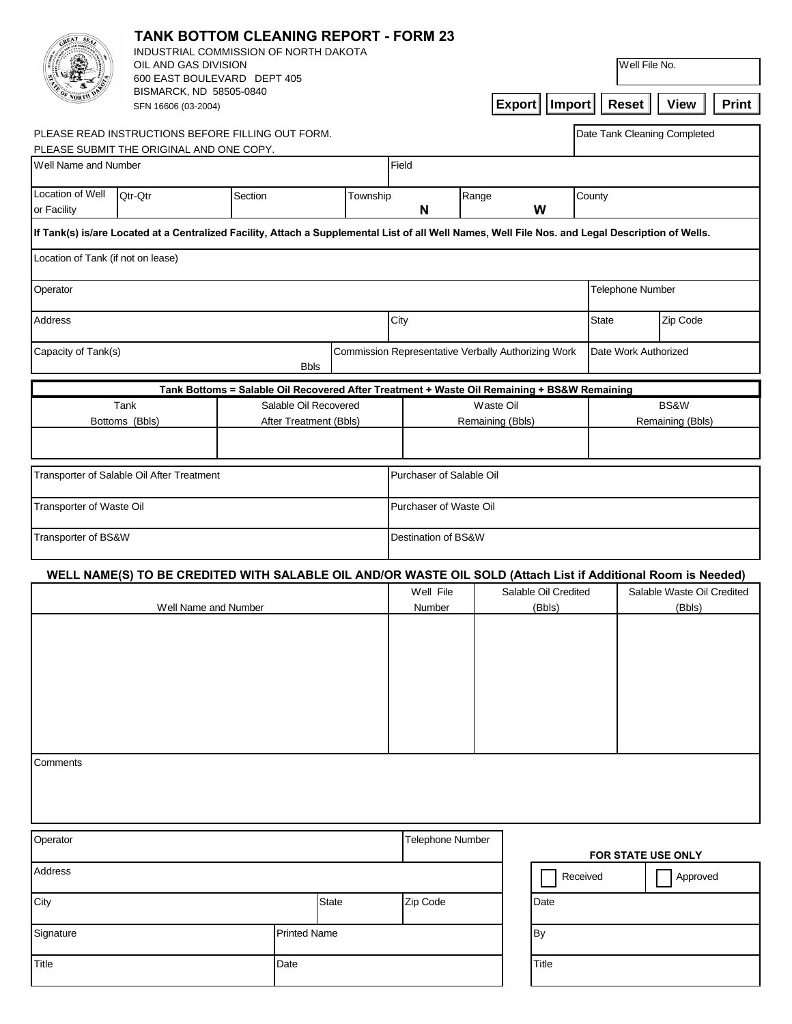|                                                                  | <b>TANK BOTTOM CLEANING REPORT - FORM 23</b><br>INDUSTRIAL COMMISSION OF NORTH DAKOTA<br>OIL AND GAS DIVISION<br>600 EAST BOULEVARD DEPT 405<br>BISMARCK, ND 58505-0840<br><b>Export</b><br>Import<br>SFN 16606 (03-2004) |                                                                                             |  |                                                     |                               |                                | Well File No.<br><b>Reset</b>        | Print<br><b>View</b>                                                                                          |  |
|------------------------------------------------------------------|---------------------------------------------------------------------------------------------------------------------------------------------------------------------------------------------------------------------------|---------------------------------------------------------------------------------------------|--|-----------------------------------------------------|-------------------------------|--------------------------------|--------------------------------------|---------------------------------------------------------------------------------------------------------------|--|
| PLEASE READ INSTRUCTIONS BEFORE FILLING OUT FORM.                |                                                                                                                                                                                                                           |                                                                                             |  |                                                     |                               |                                | Date Tank Cleaning Completed         |                                                                                                               |  |
| PLEASE SUBMIT THE ORIGINAL AND ONE COPY.<br>Well Name and Number | Field                                                                                                                                                                                                                     |                                                                                             |  |                                                     |                               |                                |                                      |                                                                                                               |  |
| Location of Well<br>Qtr-Qtr<br>Section                           |                                                                                                                                                                                                                           |                                                                                             |  | Township<br>Range<br>County                         |                               |                                |                                      |                                                                                                               |  |
| or Facility                                                      |                                                                                                                                                                                                                           |                                                                                             |  | W<br>N                                              |                               |                                |                                      |                                                                                                               |  |
|                                                                  | If Tank(s) is/are Located at a Centralized Facility, Attach a Supplemental List of all Well Names, Well File Nos. and Legal Description of Wells.                                                                         |                                                                                             |  |                                                     |                               |                                |                                      |                                                                                                               |  |
| Location of Tank (if not on lease)                               |                                                                                                                                                                                                                           |                                                                                             |  |                                                     |                               |                                |                                      |                                                                                                               |  |
| Operator                                                         |                                                                                                                                                                                                                           |                                                                                             |  |                                                     |                               |                                | <b>Telephone Number</b>              |                                                                                                               |  |
| <b>Address</b>                                                   |                                                                                                                                                                                                                           | City                                                                                        |  |                                                     | Zip Code<br><b>State</b>      |                                |                                      |                                                                                                               |  |
| Capacity of Tank(s)<br><b>Bbls</b>                               |                                                                                                                                                                                                                           |                                                                                             |  | Commission Representative Verbally Authorizing Work |                               |                                |                                      | Date Work Authorized                                                                                          |  |
|                                                                  |                                                                                                                                                                                                                           | Tank Bottoms = Salable Oil Recovered After Treatment + Waste Oil Remaining + BS&W Remaining |  |                                                     |                               |                                |                                      |                                                                                                               |  |
| Tank<br>Bottoms (Bbls)                                           |                                                                                                                                                                                                                           | Salable Oil Recovered<br>After Treatment (Bbls)                                             |  |                                                     | Waste Oil<br>Remaining (Bbls) |                                | BS&W<br>Remaining (Bbls)             |                                                                                                               |  |
|                                                                  | Transporter of Salable Oil After Treatment                                                                                                                                                                                |                                                                                             |  | Purchaser of Salable Oil                            |                               |                                |                                      |                                                                                                               |  |
| Transporter of Waste Oil                                         |                                                                                                                                                                                                                           |                                                                                             |  | Purchaser of Waste Oil                              |                               |                                |                                      |                                                                                                               |  |
| Transporter of BS&W                                              |                                                                                                                                                                                                                           |                                                                                             |  | Destination of BS&W                                 |                               |                                |                                      |                                                                                                               |  |
|                                                                  |                                                                                                                                                                                                                           |                                                                                             |  |                                                     |                               |                                |                                      | WELL NAME(S) TO BE CREDITED WITH SALABLE OIL AND/OR WASTE OIL SOLD (Attach List if Additional Room is Needed) |  |
| Well Name and Number                                             |                                                                                                                                                                                                                           |                                                                                             |  | Well File<br>Number                                 |                               | Salable Oil Credited<br>(Bbls) | Salable Waste Oil Credited<br>(Bbls) |                                                                                                               |  |
|                                                                  |                                                                                                                                                                                                                           |                                                                                             |  |                                                     |                               |                                |                                      |                                                                                                               |  |
| Comments                                                         |                                                                                                                                                                                                                           |                                                                                             |  |                                                     |                               |                                |                                      |                                                                                                               |  |
| Operator                                                         |                                                                                                                                                                                                                           | <b>Telephone Number</b><br>FOR STATE USE ONLY                                               |  |                                                     |                               |                                |                                      |                                                                                                               |  |
| <b>Address</b>                                                   |                                                                                                                                                                                                                           |                                                                                             |  |                                                     |                               |                                | Received<br>Approved                 |                                                                                                               |  |
| City<br><b>State</b>                                             |                                                                                                                                                                                                                           |                                                                                             |  | Zip Code<br>Date                                    |                               |                                |                                      |                                                                                                               |  |
| Signature<br><b>Printed Name</b>                                 |                                                                                                                                                                                                                           |                                                                                             |  | By                                                  |                               |                                |                                      |                                                                                                               |  |
| Date<br>Title                                                    |                                                                                                                                                                                                                           |                                                                                             |  | <b>Title</b>                                        |                               |                                |                                      |                                                                                                               |  |